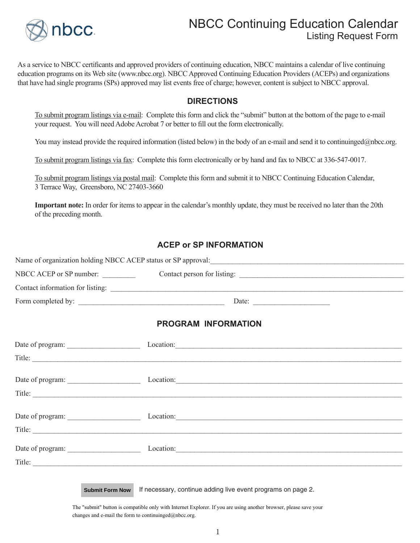

## NBCC Continuing Education Calendar Listing Request Form

As a service to NBCC certificants and approved providers of continuing education, NBCC maintains a calendar of live continuing education programs on its Web site (www.nbcc.org). NBCC Approved Continuing Education Providers (ACEPs) and organizations that have had single programs (SPs) approved may list events free of charge; however, content is subject to NBCC approval.

#### **DIRECTIONS**

To submit program listings via e-mail: Complete this form and click the "submit" button at the bottom of the page to e-mail your request. You will need Adobe Acrobat 7 or better to fill out the form electronically.

You may instead provide the required information (listed below) in the body of an e-mail and send it to continuinged@nbcc.org.

To submit program listings via fax: Complete this form electronically or by hand and fax to NBCC at 336-547-0017.

To submit program listings via postal mail: Complete this form and submit it to NBCC Continuing Education Calendar, 3 Terrace Way, Greensboro, NC 27403-3660

**Important note:** In order for items to appear in the calendar's monthly update, they must be received no later than the 20th of the preceding month.

### **ACEP or SP INFORMATION**

| Name of organization holding NBCC ACEP status or SP approval: |                             |
|---------------------------------------------------------------|-----------------------------|
| NBCC ACEP or SP number:                                       | Contact person for listing: |
| Contact information for listing:                              |                             |
| Form completed by:                                            | Date:                       |

#### **PROGRAM INFORMATION**

| Date of program:       | Location: |
|------------------------|-----------|
| Title:                 |           |
|                        |           |
| Date of program:       | Location: |
|                        |           |
|                        |           |
| Date of program:       | Location: |
| Title: $\qquad \qquad$ |           |
|                        |           |
| Date of program:       | Location: |
| Title:                 |           |
|                        |           |

If necessary, continue adding live event programs on page 2. **Submit Form Now**

The "submit" button is compatible only with Internet Explorer. If you are using another browser, please save your changes and e-mail the form to continuinged $@n$ bcc.org.